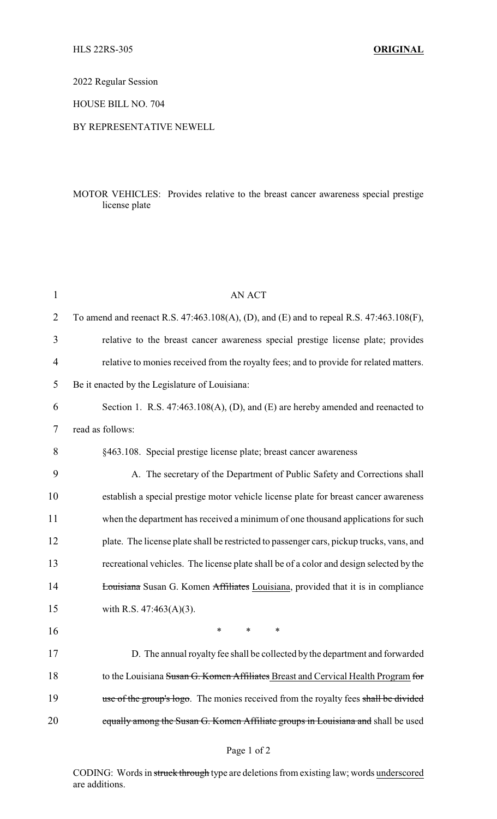2022 Regular Session

HOUSE BILL NO. 704

## BY REPRESENTATIVE NEWELL

## MOTOR VEHICLES: Provides relative to the breast cancer awareness special prestige license plate

| 1              | <b>AN ACT</b>                                                                            |
|----------------|------------------------------------------------------------------------------------------|
| $\overline{2}$ | To amend and reenact R.S. 47:463.108(A), (D), and (E) and to repeal R.S. 47:463.108(F),  |
| 3              | relative to the breast cancer awareness special prestige license plate; provides         |
| 4              | relative to monies received from the royalty fees; and to provide for related matters.   |
| 5              | Be it enacted by the Legislature of Louisiana:                                           |
| 6              | Section 1. R.S. 47:463.108(A), (D), and (E) are hereby amended and reenacted to          |
| 7              | read as follows:                                                                         |
| 8              | §463.108. Special prestige license plate; breast cancer awareness                        |
| 9              | A. The secretary of the Department of Public Safety and Corrections shall                |
| 10             | establish a special prestige motor vehicle license plate for breast cancer awareness     |
| 11             | when the department has received a minimum of one thousand applications for such         |
| 12             | plate. The license plate shall be restricted to passenger cars, pickup trucks, vans, and |
| 13             | recreational vehicles. The license plate shall be of a color and design selected by the  |
| 14             | Louisiana Susan G. Komen Affiliates Louisiana, provided that it is in compliance         |
| 15             | with R.S. $47:463(A)(3)$ .                                                               |
| 16             | *<br>*<br>∗                                                                              |
| 17             | D. The annual royalty fee shall be collected by the department and forwarded             |
| 18             | to the Louisiana Susan G. Komen Affiliates Breast and Cervical Health Program for        |
| 19             | use of the group's logo. The monies received from the royalty fees shall be divided      |
| 20             | equally among the Susan G. Komen Affiliate groups in Louisiana and shall be used         |
|                |                                                                                          |

CODING: Words in struck through type are deletions from existing law; words underscored are additions.